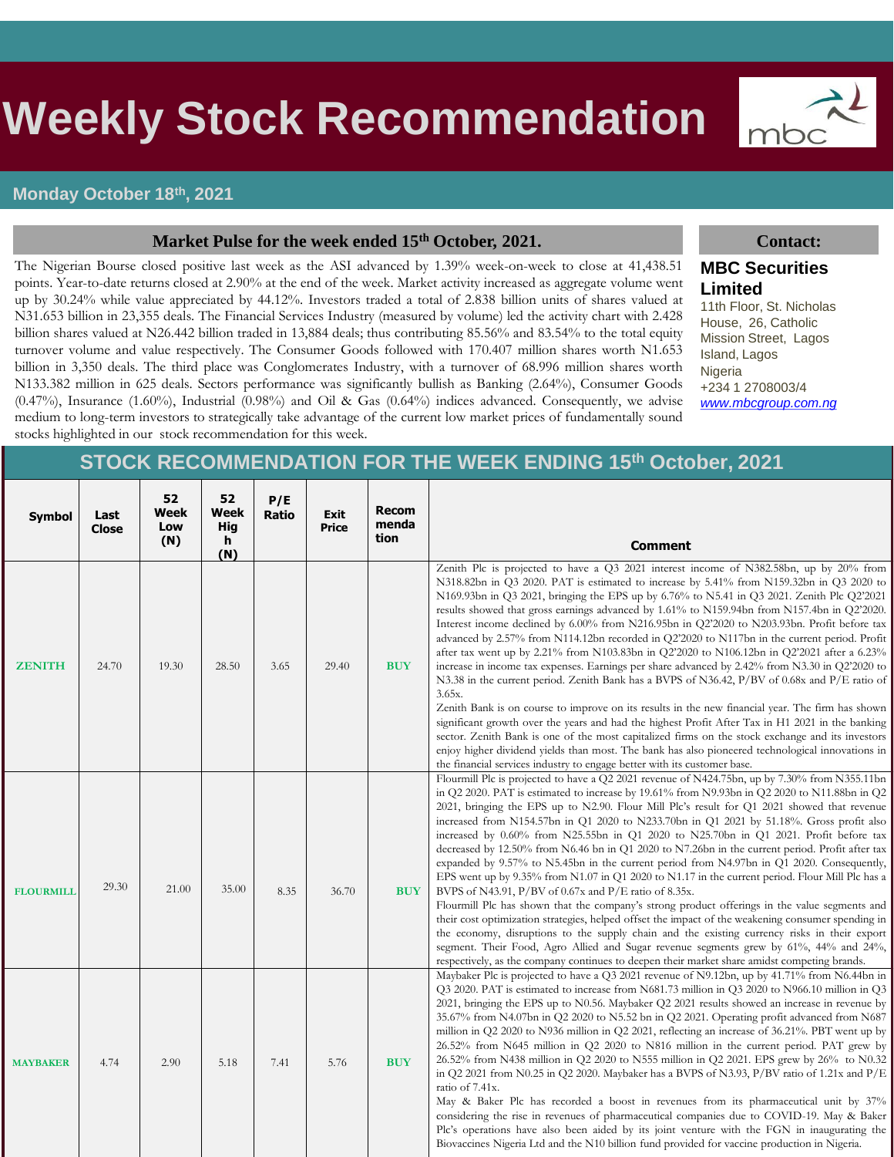# s **Weekly Stock Recommendation**

## **Monday October 18th, 2021**

### **Market Pulse for the week ended 15th October, 2021. Contact:**

The Nigerian Bourse closed positive last week as the ASI advanced by 1.39% week-on-week to close at 41,438.51 points. Year-to-date returns closed at 2.90% at the end of the week. Market activity increased as aggregate volume went up by 30.24% while value appreciated by 44.12%. Investors traded a total of 2.838 billion units of shares valued at N31.653 billion in 23,355 deals. The Financial Services Industry (measured by volume) led the activity chart with 2.428 billion shares valued at N26.442 billion traded in 13,884 deals; thus contributing 85.56% and 83.54% to the total equity turnover volume and value respectively. The Consumer Goods followed with 170.407 million shares worth N1.653 billion in 3,350 deals. The third place was Conglomerates Industry, with a turnover of 68.996 million shares worth N133.382 million in 625 deals. Sectors performance was significantly bullish as Banking (2.64%), Consumer Goods (0.47%), Insurance (1.60%), Industrial (0.98%) and Oil & Gas (0.64%) indices advanced. Consequently, we advise medium to long-term investors to strategically take advantage of the current low market prices of fundamentally sound stocks highlighted in our stock recommendation for this week.

mbc

## **MBC Securities Limited**

11th Floor, St. Nicholas House, 26, Catholic Mission Street, Lagos Island, Lagos Nigeria +234 1 2708003/4 *[www.mbcgroup.com.ng](http://www.mbcgroup.com.ng/)*

## **STOCK RECOMMENDATION FOR THE WEEK ENDING 15th October, 2021**

| <b>Symbol</b>    | Last<br>Close | 52<br>Week<br>Low<br>(N) | 52<br>Week<br><b>Hig</b><br>h<br>(N) | P/E<br><b>Ratio</b> | <b>Exit</b><br>Price | <b>Recom</b><br>menda<br>tion | <b>Comment</b>                                                                                                                                                                                                                                                                                                                                                                                                                                                                                                                                                                                                                                                                                                                                                                                                                                                                                                                                                                                                                                                                                                                                                                                                                                                                                                                                                                            |
|------------------|---------------|--------------------------|--------------------------------------|---------------------|----------------------|-------------------------------|-------------------------------------------------------------------------------------------------------------------------------------------------------------------------------------------------------------------------------------------------------------------------------------------------------------------------------------------------------------------------------------------------------------------------------------------------------------------------------------------------------------------------------------------------------------------------------------------------------------------------------------------------------------------------------------------------------------------------------------------------------------------------------------------------------------------------------------------------------------------------------------------------------------------------------------------------------------------------------------------------------------------------------------------------------------------------------------------------------------------------------------------------------------------------------------------------------------------------------------------------------------------------------------------------------------------------------------------------------------------------------------------|
| <b>ZENITH</b>    | 24.70         | 19.30                    | 28.50                                | 3.65                | 29.40                | <b>BUY</b>                    | Zenith Plc is projected to have a Q3 2021 interest income of N382.58bn, up by 20% from<br>N318.82bn in Q3 2020. PAT is estimated to increase by 5.41% from N159.32bn in Q3 2020 to<br>N169.93bn in Q3 2021, bringing the EPS up by 6.76% to N5.41 in Q3 2021. Zenith Plc Q2'2021<br>results showed that gross earnings advanced by 1.61% to N159.94bn from N157.4bn in Q2'2020.<br>Interest income declined by 6.00% from N216.95bn in Q2'2020 to N203.93bn. Profit before tax<br>advanced by 2.57% from N114.12bn recorded in Q2'2020 to N117bn in the current period. Profit<br>after tax went up by 2.21% from N103.83bn in Q2'2020 to N106.12bn in Q2'2021 after a 6.23%<br>increase in income tax expenses. Earnings per share advanced by 2.42% from N3.30 in Q2'2020 to<br>N3.38 in the current period. Zenith Bank has a BVPS of N36.42, $P/BV$ of 0.68x and $P/E$ ratio of<br>3.65x.<br>Zenith Bank is on course to improve on its results in the new financial year. The firm has shown<br>significant growth over the years and had the highest Profit After Tax in H1 2021 in the banking<br>sector. Zenith Bank is one of the most capitalized firms on the stock exchange and its investors<br>enjoy higher dividend yields than most. The bank has also pioneered technological innovations in<br>the financial services industry to engage better with its customer base. |
| <b>FLOURMILL</b> | 29.30         | 21.00                    | 35.00                                | 8.35                | 36.70                | <b>BUY</b>                    | Flourmill Plc is projected to have a Q2 2021 revenue of N424.75bn, up by 7.30% from N355.11bn<br>in Q2 2020. PAT is estimated to increase by 19.61% from N9.93bn in Q2 2020 to N11.88bn in Q2<br>2021, bringing the EPS up to N2.90. Flour Mill Plc's result for Q1 2021 showed that revenue<br>increased from N154.57bn in Q1 2020 to N233.70bn in Q1 2021 by 51.18%. Gross profit also<br>increased by 0.60% from N25.55bn in Q1 2020 to N25.70bn in Q1 2021. Profit before tax<br>decreased by 12.50% from N6.46 bn in Q1 2020 to N7.26bn in the current period. Profit after tax<br>expanded by 9.57% to N5.45bn in the current period from N4.97bn in Q1 2020. Consequently,<br>EPS went up by $9.35\%$ from N1.07 in Q1 2020 to N1.17 in the current period. Flour Mill Plc has a<br>BVPS of N43.91, $P/BV$ of 0.67x and $P/E$ ratio of 8.35x.<br>Flourmill Plc has shown that the company's strong product offerings in the value segments and<br>their cost optimization strategies, helped offset the impact of the weakening consumer spending in<br>the economy, disruptions to the supply chain and the existing currency risks in their export<br>segment. Their Food, Agro Allied and Sugar revenue segments grew by 61%, 44% and 24%,<br>respectively, as the company continues to deepen their market share amidst competing brands.                                      |
| <b>MAYBAKER</b>  | 4.74          | 2.90                     | 5.18                                 | 7.41                | 5.76                 | <b>BUY</b>                    | Maybaker Plc is projected to have a Q3 2021 revenue of N9.12bn, up by 41.71% from N6.44bn in<br>Q3 2020. PAT is estimated to increase from N681.73 million in Q3 2020 to N966.10 million in Q3<br>2021, bringing the EPS up to N0.56. Maybaker Q2 2021 results showed an increase in revenue by<br>35.67% from N4.07bn in Q2 2020 to N5.52 bn in Q2 2021. Operating profit advanced from N687<br>million in Q2 2020 to N936 million in Q2 2021, reflecting an increase of 36.21%. PBT went up by<br>26.52% from N645 million in Q2 2020 to N816 million in the current period. PAT grew by<br>26.52% from N438 million in Q2 2020 to N555 million in Q2 2021. EPS grew by 26% to N0.32<br>in Q2 2021 from N0.25 in Q2 2020. Maybaker has a BVPS of N3.93, $P/BV$ ratio of 1.21x and $P/E$<br>ratio of 7.41x.<br>May & Baker Plc has recorded a boost in revenues from its pharmaceutical unit by 37%<br>considering the rise in revenues of pharmaceutical companies due to COVID-19. May & Baker<br>Plc's operations have also been aided by its joint venture with the FGN in inaugurating the<br>Biovaccines Nigeria Ltd and the N10 billion fund provided for vaccine production in Nigeria.                                                                                                                                                                                          |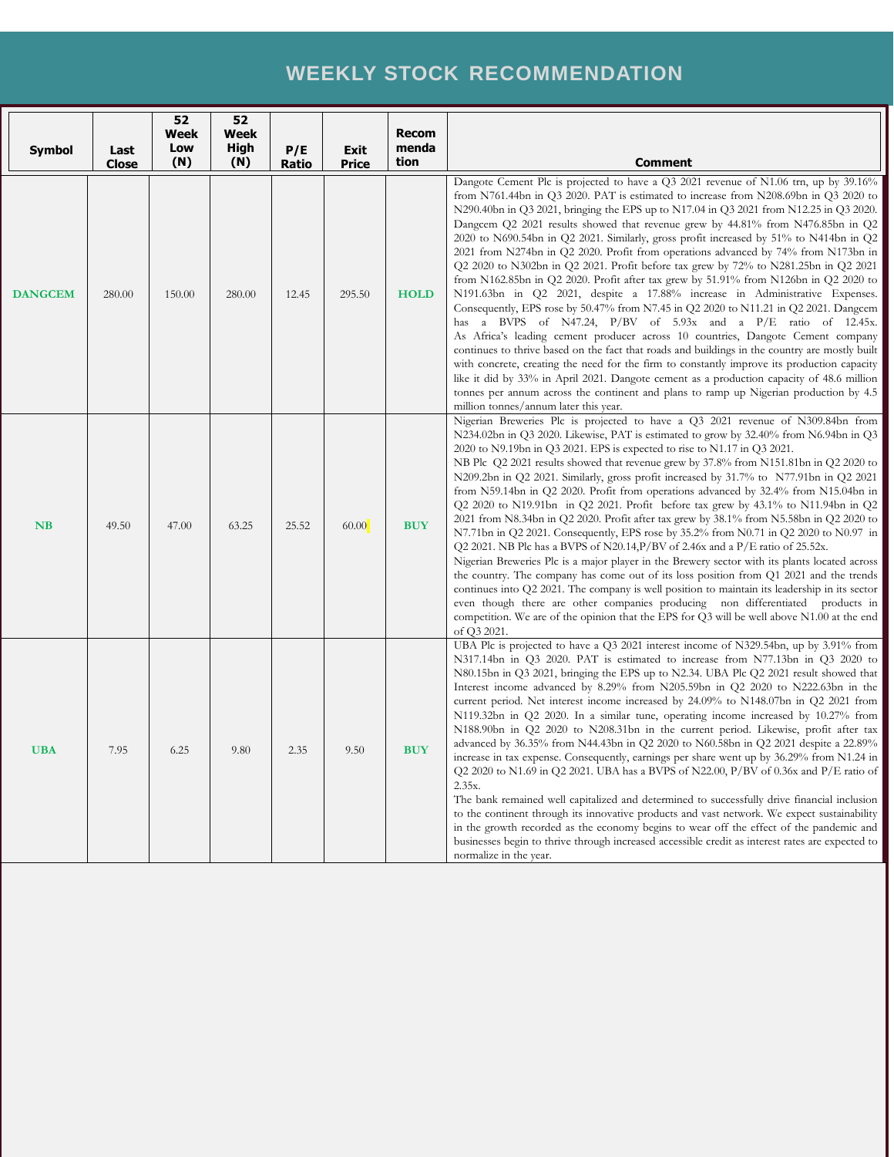## **WEEKLY STOCK RECOMMENDATION**

| <b>Symbol</b>  | Last<br><b>Close</b> | 52<br>Week<br>Low<br>(N) | 52<br>Week<br>High<br>(N) | P/E<br><b>Ratio</b> | <b>Exit</b><br><b>Price</b> | <b>Recom</b><br>menda<br>tion | <b>Comment</b>                                                                                                                                                                                                                                                                                                                                                                                                                                                                                                                                                                                                                                                                                                                                                                                                                                                                                                                                                                                                                                                                                                                                                                                                                                                                                                                                                                                                                                                                                       |
|----------------|----------------------|--------------------------|---------------------------|---------------------|-----------------------------|-------------------------------|------------------------------------------------------------------------------------------------------------------------------------------------------------------------------------------------------------------------------------------------------------------------------------------------------------------------------------------------------------------------------------------------------------------------------------------------------------------------------------------------------------------------------------------------------------------------------------------------------------------------------------------------------------------------------------------------------------------------------------------------------------------------------------------------------------------------------------------------------------------------------------------------------------------------------------------------------------------------------------------------------------------------------------------------------------------------------------------------------------------------------------------------------------------------------------------------------------------------------------------------------------------------------------------------------------------------------------------------------------------------------------------------------------------------------------------------------------------------------------------------------|
| <b>DANGCEM</b> | 280.00               | 150.00                   | 280.00                    | 12.45               | 295.50                      | <b>HOLD</b>                   | Dangote Cement Plc is projected to have a Q3 2021 revenue of N1.06 trn, up by 39.16%<br>from N761.44bn in Q3 2020. PAT is estimated to increase from N208.69bn in Q3 2020 to<br>N290.40bn in Q3 2021, bringing the EPS up to N17.04 in Q3 2021 from N12.25 in Q3 2020.<br>Dangcem $Q2$ 2021 results showed that revenue grew by 44.81% from N476.85bn in $Q2$<br>$2020$ to N690.54bn in Q2 2021. Similarly, gross profit increased by 51% to N414bn in Q2<br>2021 from N274bn in Q2 2020. Profit from operations advanced by 74% from N173bn in<br>Q2 2020 to N302bn in Q2 2021. Profit before tax grew by $72\%$ to N281.25bn in Q2 2021<br>from N162.85bn in Q2 2020. Profit after tax grew by $51.91\%$ from N126bn in Q2 2020 to<br>N191.63bn in Q2 2021, despite a 17.88% increase in Administrative Expenses.<br>Consequently, EPS rose by 50.47% from N7.45 in Q2 2020 to N11.21 in Q2 2021. Dangeem<br>has a BVPS of N47.24, $P/BV$ of 5.93x and a $P/E$ ratio of 12.45x.<br>As Africa's leading cement producer across 10 countries, Dangote Cement company<br>continues to thrive based on the fact that roads and buildings in the country are mostly built<br>with concrete, creating the need for the firm to constantly improve its production capacity<br>like it did by 33% in April 2021. Dangote cement as a production capacity of 48.6 million<br>tonnes per annum across the continent and plans to ramp up Nigerian production by 4.5<br>million tonnes/annum later this year. |
| NB             | 49.50                | 47.00                    | 63.25                     | 25.52               | 60.00                       | <b>BUY</b>                    | Nigerian Breweries Plc is projected to have a Q3 2021 revenue of N309.84bn from<br>N234.02bn in Q3 2020. Likewise, PAT is estimated to grow by 32.40% from N6.94bn in Q3<br>2020 to N9.19bn in Q3 2021. EPS is expected to rise to N1.17 in Q3 2021.<br>NB Plc Q2 2021 results showed that revenue grew by 37.8% from N151.81bn in Q2 2020 to<br>N209.2bn in Q2 2021. Similarly, gross profit increased by 31.7% to N77.91bn in Q2 2021<br>from N59.14bn in Q2 2020. Profit from operations advanced by 32.4% from N15.04bn in<br>Q2 2020 to N19.91bn in Q2 2021. Profit before tax grew by $43.1\%$ to N11.94bn in Q2<br>2021 from N8.34bn in Q2 2020. Profit after tax grew by $38.1\%$ from N5.58bn in Q2 2020 to<br>N7.71bn in Q2 2021. Consequently, EPS rose by $35.2\%$ from N0.71 in Q2 2020 to N0.97 in<br>Q2 2021. NB Plc has a BVPS of N20.14, P/BV of 2.46x and a $P/E$ ratio of 25.52x.<br>Nigerian Breweries Plc is a major player in the Brewery sector with its plants located across<br>the country. The company has come out of its loss position from Q1 2021 and the trends<br>continues into Q2 2021. The company is well position to maintain its leadership in its sector<br>even though there are other companies producing non differentiated products in<br>competition. We are of the opinion that the EPS for Q3 will be well above N1.00 at the end<br>of Q3 2021.                                                                                                      |
| <b>UBA</b>     | 7.95                 | 6.25                     | 9.80                      | 2.35                | 9.50                        | <b>BUY</b>                    | UBA Plc is projected to have a $Q3$ 2021 interest income of N329.54bn, up by 3.91% from<br>N317.14bn in Q3 2020. PAT is estimated to increase from N77.13bn in Q3 2020 to<br>N80.15bn in Q3 2021, bringing the EPS up to N2.34. UBA Plc Q2 2021 result showed that<br>Interest income advanced by 8.29% from N205.59bn in Q2 2020 to N222.63bn in the<br>current period. Net interest income increased by 24.09% to N148.07bn in Q2 2021 from<br>N119.32bn in Q2 2020. In a similar tune, operating income increased by 10.27% from<br>N188.90bn in Q2 2020 to N208.31bn in the current period. Likewise, profit after tax<br>advanced by 36.35% from N44.43bn in Q2 2020 to N60.58bn in Q2 2021 despite a 22.89%<br>increase in tax expense. Consequently, earnings per share went up by 36.29% from N1.24 in<br>Q2 2020 to N1.69 in Q2 2021. UBA has a BVPS of N22.00, P/BV of 0.36x and P/E ratio of<br>2.35x.<br>The bank remained well capitalized and determined to successfully drive financial inclusion<br>to the continent through its innovative products and vast network. We expect sustainability<br>in the growth recorded as the economy begins to wear off the effect of the pandemic and<br>businesses begin to thrive through increased accessible credit as interest rates are expected to<br>normalize in the year.                                                                                                                                                             |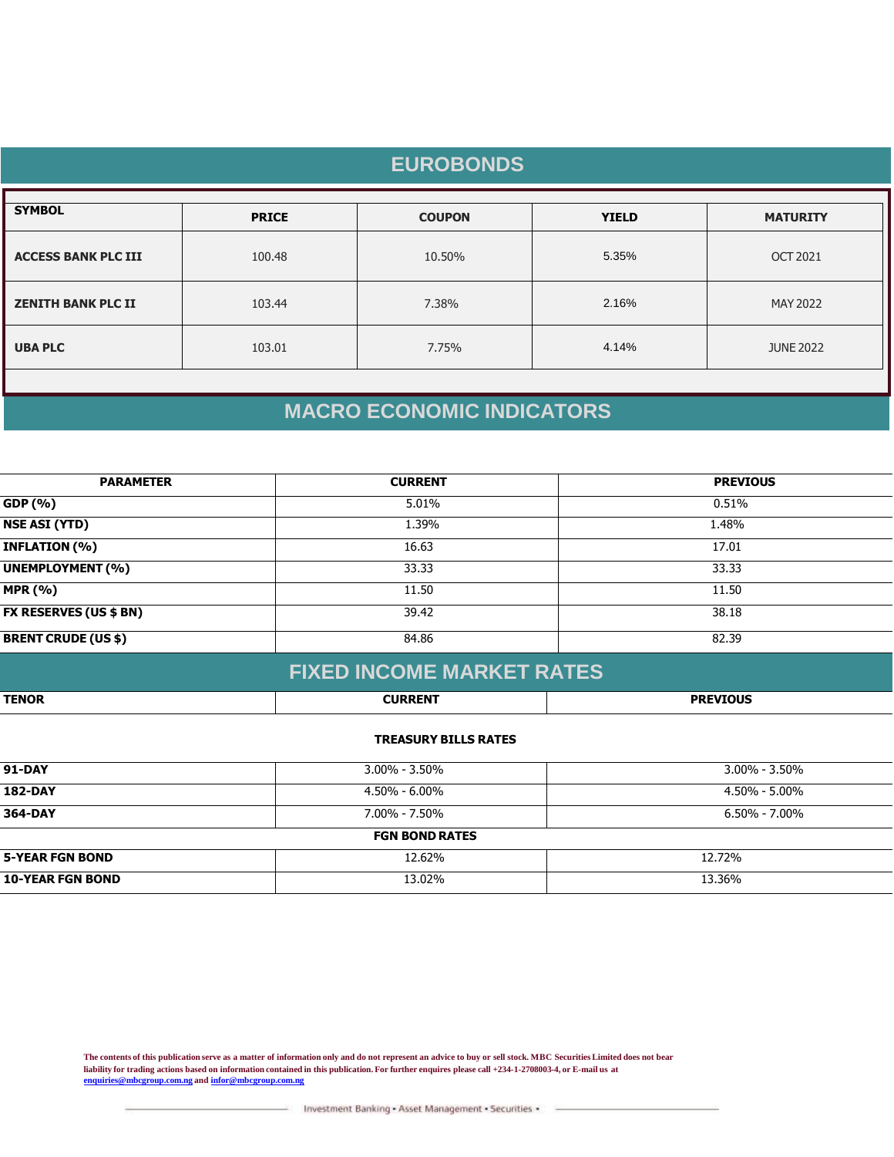| <b>EUROBONDS</b>           |              |               |              |                  |  |  |  |
|----------------------------|--------------|---------------|--------------|------------------|--|--|--|
| <b>SYMBOL</b>              | <b>PRICE</b> | <b>COUPON</b> | <b>YIELD</b> | <b>MATURITY</b>  |  |  |  |
| <b>ACCESS BANK PLC III</b> | 100.48       | 10.50%        | 5.35%        | <b>OCT 2021</b>  |  |  |  |
| <b>ZENITH BANK PLC II</b>  | 103.44       | 7.38%         | 2.16%        | MAY 2022         |  |  |  |
| <b>UBA PLC</b>             | 103.01       | 7.75%         | 4.14%        | <b>JUNE 2022</b> |  |  |  |
|                            |              |               |              |                  |  |  |  |

# **MACRO ECONOMIC INDICATORS**

| <b>PARAMETER</b>              | <b>CURRENT</b> | <b>PREVIOUS</b> |
|-------------------------------|----------------|-----------------|
| GDP (%)                       | 5.01%          | 0.51%           |
| <b>NSE ASI (YTD)</b>          | 1.39%          | 1.48%           |
| <b>INFLATION (%)</b>          | 16.63          | 17.01           |
| <b>UNEMPLOYMENT (%)</b>       | 33.33          | 33.33           |
| <b>MPR (%)</b>                | 11.50          | 11.50           |
| <b>FX RESERVES (US \$ BN)</b> | 39.42          | 38.18           |
| <b>BRENT CRUDE (US \$)</b>    | 84.86          | 82.39           |
|                               |                |                 |

| <b>FIXED INCOME MARKET RATES</b> |                |                 |  |  |
|----------------------------------|----------------|-----------------|--|--|
| <b>TENOR</b>                     | <b>CURRENT</b> | <b>PREVIOUS</b> |  |  |

## **TREASURY BILLS RATES**

| <b>91-DAY</b>           | $3.00\% - 3.50\%$     | $3.00\%$ - 3.50%    |
|-------------------------|-----------------------|---------------------|
| <b>182-DAY</b>          | 4.50% - 6.00%         | 4.50% - 5.00%       |
| 364-DAY                 | 7.00% - 7.50%         | $6.50\%$ - $7.00\%$ |
|                         | <b>FGN BOND RATES</b> |                     |
| <b>5-YEAR FGN BOND</b>  | 12.62%                | 12.72%              |
| <b>10-YEAR FGN BOND</b> | 13.02%                | 13.36%              |

**The contents of this publication serve as a matter of information only and do not represent an advice to buy or sell stock. MBC Securities Limited does not bear liability for trading actions based on information contained in this publication. For further enquires please call +234-1-2708003-4, or E-mail us at [enquiries@mbcgroup.com.ng](mailto:enquiries@mbcgroup.com.ng) and [infor@mbcgroup.com.ng](mailto:infor@mbcgroup.com.ng)**

Investment Banking - Asset Management - Securities -